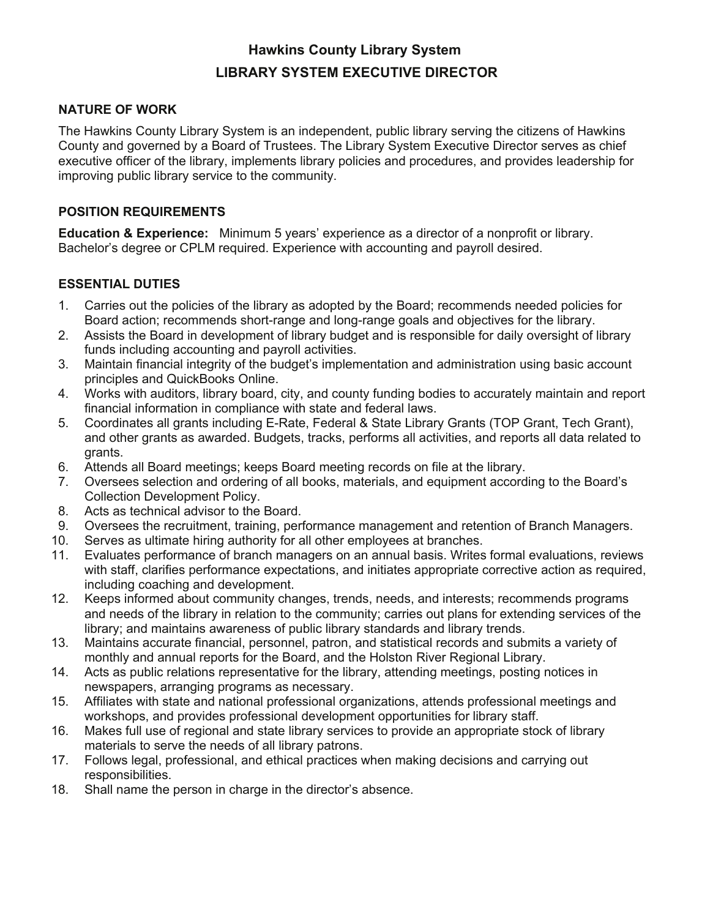# **Hawkins County Library System LIBRARY SYSTEM EXECUTIVE DIRECTOR**

### **NATURE OF WORK**

The Hawkins County Library System is an independent, public library serving the citizens of Hawkins County and governed by a Board of Trustees. The Library System Executive Director serves as chief executive officer of the library, implements library policies and procedures, and provides leadership for improving public library service to the community.

### **POSITION REQUIREMENTS**

**Education & Experience:** Minimum 5 years' experience as a director of a nonprofit or library. Bachelor's degree or CPLM required. Experience with accounting and payroll desired.

# **ESSENTIAL DUTIES**

- 1. Carries out the policies of the library as adopted by the Board; recommends needed policies for Board action; recommends short-range and long-range goals and objectives for the library.
- 2. Assists the Board in development of library budget and is responsible for daily oversight of library funds including accounting and payroll activities.
- 3. Maintain financial integrity of the budget's implementation and administration using basic account principles and QuickBooks Online.
- 4. Works with auditors, library board, city, and county funding bodies to accurately maintain and report financial information in compliance with state and federal laws.
- 5. Coordinates all grants including E-Rate, Federal & State Library Grants (TOP Grant, Tech Grant), and other grants as awarded. Budgets, tracks, performs all activities, and reports all data related to grants.
- 6. Attends all Board meetings; keeps Board meeting records on file at the library.
- 7. Oversees selection and ordering of all books, materials, and equipment according to the Board's Collection Development Policy.
- 8. Acts as technical advisor to the Board.
- 9. Oversees the recruitment, training, performance management and retention of Branch Managers.
- 10. Serves as ultimate hiring authority for all other employees at branches.
- 11. Evaluates performance of branch managers on an annual basis. Writes formal evaluations, reviews with staff, clarifies performance expectations, and initiates appropriate corrective action as required, including coaching and development.
- 12. Keeps informed about community changes, trends, needs, and interests; recommends programs and needs of the library in relation to the community; carries out plans for extending services of the library; and maintains awareness of public library standards and library trends.
- 13. Maintains accurate financial, personnel, patron, and statistical records and submits a variety of monthly and annual reports for the Board, and the Holston River Regional Library.
- 14. Acts as public relations representative for the library, attending meetings, posting notices in newspapers, arranging programs as necessary.
- 15. Affiliates with state and national professional organizations, attends professional meetings and workshops, and provides professional development opportunities for library staff.
- 16. Makes full use of regional and state library services to provide an appropriate stock of library materials to serve the needs of all library patrons.
- 17. Follows legal, professional, and ethical practices when making decisions and carrying out responsibilities.
- 18. Shall name the person in charge in the director's absence.